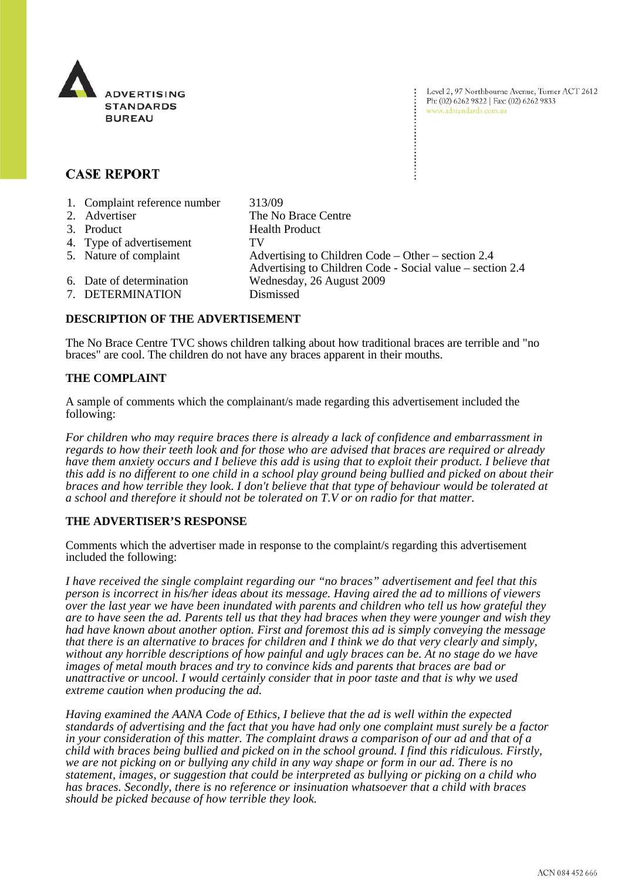

Level 2, 97 Northbourne Avenue, Turner ACT 2612 Ph: (02) 6262 9822 | Fax: (02) 6262 9833 www.adstandards.com.au

# **CASE REPORT**

| 1. Complaint reference number                | 313/09                                                                                                            |
|----------------------------------------------|-------------------------------------------------------------------------------------------------------------------|
| 2. Advertiser                                | The No Brace Centre                                                                                               |
| 3. Product                                   | <b>Health Product</b>                                                                                             |
| 4. Type of advertisement                     | TV                                                                                                                |
| 5. Nature of complaint                       | Advertising to Children Code – Other – section $2.4$<br>Advertising to Children Code - Social value – section 2.4 |
| 6. Date of determination<br>7. DETERMINATION | Wednesday, 26 August 2009<br>Dismissed                                                                            |

# **DESCRIPTION OF THE ADVERTISEMENT**

The No Brace Centre TVC shows children talking about how traditional braces are terrible and "no braces" are cool. The children do not have any braces apparent in their mouths.

### **THE COMPLAINT**

A sample of comments which the complainant/s made regarding this advertisement included the following:

*For children who may require braces there is already a lack of confidence and embarrassment in regards to how their teeth look and for those who are advised that braces are required or already have them anxiety occurs and I believe this add is using that to exploit their product. I believe that this add is no different to one child in a school play ground being bullied and picked on about their braces and how terrible they look. I don't believe that that type of behaviour would be tolerated at a school and therefore it should not be tolerated on T.V or on radio for that matter.*

### **THE ADVERTISER'S RESPONSE**

Comments which the advertiser made in response to the complaint/s regarding this advertisement included the following:

*I have received the single complaint regarding our "no braces" advertisement and feel that this person is incorrect in his/her ideas about its message. Having aired the ad to millions of viewers over the last year we have been inundated with parents and children who tell us how grateful they are to have seen the ad. Parents tell us that they had braces when they were younger and wish they had have known about another option. First and foremost this ad is simply conveying the message that there is an alternative to braces for children and I think we do that very clearly and simply, without any horrible descriptions of how painful and ugly braces can be. At no stage do we have images of metal mouth braces and try to convince kids and parents that braces are bad or unattractive or uncool. I would certainly consider that in poor taste and that is why we used extreme caution when producing the ad.* 

*Having examined the AANA Code of Ethics, I believe that the ad is well within the expected standards of advertising and the fact that you have had only one complaint must surely be a factor in your consideration of this matter. The complaint draws a comparison of our ad and that of a child with braces being bullied and picked on in the school ground. I find this ridiculous. Firstly, we are not picking on or bullying any child in any way shape or form in our ad. There is no statement, images, or suggestion that could be interpreted as bullying or picking on a child who has braces. Secondly, there is no reference or insinuation whatsoever that a child with braces should be picked because of how terrible they look.*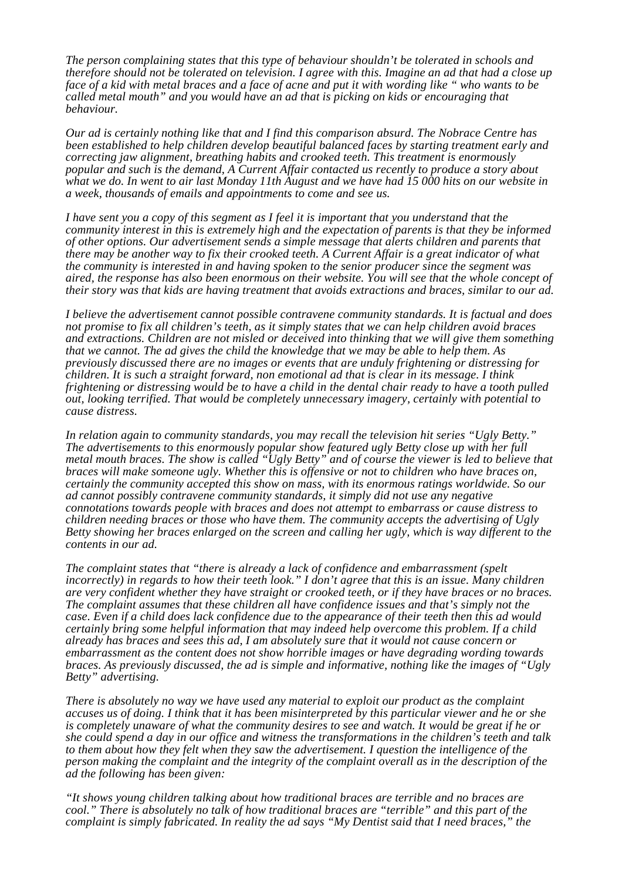*The person complaining states that this type of behaviour shouldn't be tolerated in schools and therefore should not be tolerated on television. I agree with this. Imagine an ad that had a close up face of a kid with metal braces and a face of acne and put it with wording like " who wants to be called metal mouth" and you would have an ad that is picking on kids or encouraging that behaviour.*

*Our ad is certainly nothing like that and I find this comparison absurd. The Nobrace Centre has been established to help children develop beautiful balanced faces by starting treatment early and correcting jaw alignment, breathing habits and crooked teeth. This treatment is enormously popular and such is the demand, A Current Affair contacted us recently to produce a story about what we do. In went to air last Monday 11th August and we have had 15 000 hits on our website in a week, thousands of emails and appointments to come and see us.* 

*I have sent you a copy of this segment as I feel it is important that you understand that the community interest in this is extremely high and the expectation of parents is that they be informed of other options. Our advertisement sends a simple message that alerts children and parents that there may be another way to fix their crooked teeth. A Current Affair is a great indicator of what the community is interested in and having spoken to the senior producer since the segment was aired, the response has also been enormous on their website. You will see that the whole concept of their story was that kids are having treatment that avoids extractions and braces, similar to our ad.*

*I believe the advertisement cannot possible contravene community standards. It is factual and does not promise to fix all children's teeth, as it simply states that we can help children avoid braces and extractions. Children are not misled or deceived into thinking that we will give them something that we cannot. The ad gives the child the knowledge that we may be able to help them. As previously discussed there are no images or events that are unduly frightening or distressing for children. It is such a straight forward, non emotional ad that is clear in its message. I think frightening or distressing would be to have a child in the dental chair ready to have a tooth pulled out, looking terrified. That would be completely unnecessary imagery, certainly with potential to cause distress.*

*In relation again to community standards, you may recall the television hit series "Ugly Betty." The advertisements to this enormously popular show featured ugly Betty close up with her full metal mouth braces. The show is called "Ugly Betty" and of course the viewer is led to believe that braces will make someone ugly. Whether this is offensive or not to children who have braces on, certainly the community accepted this show on mass, with its enormous ratings worldwide. So our ad cannot possibly contravene community standards, it simply did not use any negative connotations towards people with braces and does not attempt to embarrass or cause distress to children needing braces or those who have them. The community accepts the advertising of Ugly Betty showing her braces enlarged on the screen and calling her ugly, which is way different to the contents in our ad.*

*The complaint states that "there is already a lack of confidence and embarrassment (spelt incorrectly) in regards to how their teeth look." I don't agree that this is an issue. Many children are very confident whether they have straight or crooked teeth, or if they have braces or no braces. The complaint assumes that these children all have confidence issues and that's simply not the case. Even if a child does lack confidence due to the appearance of their teeth then this ad would certainly bring some helpful information that may indeed help overcome this problem. If a child already has braces and sees this ad, I am absolutely sure that it would not cause concern or embarrassment as the content does not show horrible images or have degrading wording towards braces. As previously discussed, the ad is simple and informative, nothing like the images of "Ugly Betty" advertising.*

*There is absolutely no way we have used any material to exploit our product as the complaint accuses us of doing. I think that it has been misinterpreted by this particular viewer and he or she is completely unaware of what the community desires to see and watch. It would be great if he or she could spend a day in our office and witness the transformations in the children's teeth and talk to them about how they felt when they saw the advertisement. I question the intelligence of the person making the complaint and the integrity of the complaint overall as in the description of the ad the following has been given:*

*"It shows young children talking about how traditional braces are terrible and no braces are cool." There is absolutely no talk of how traditional braces are "terrible" and this part of the complaint is simply fabricated. In reality the ad says "My Dentist said that I need braces," the*